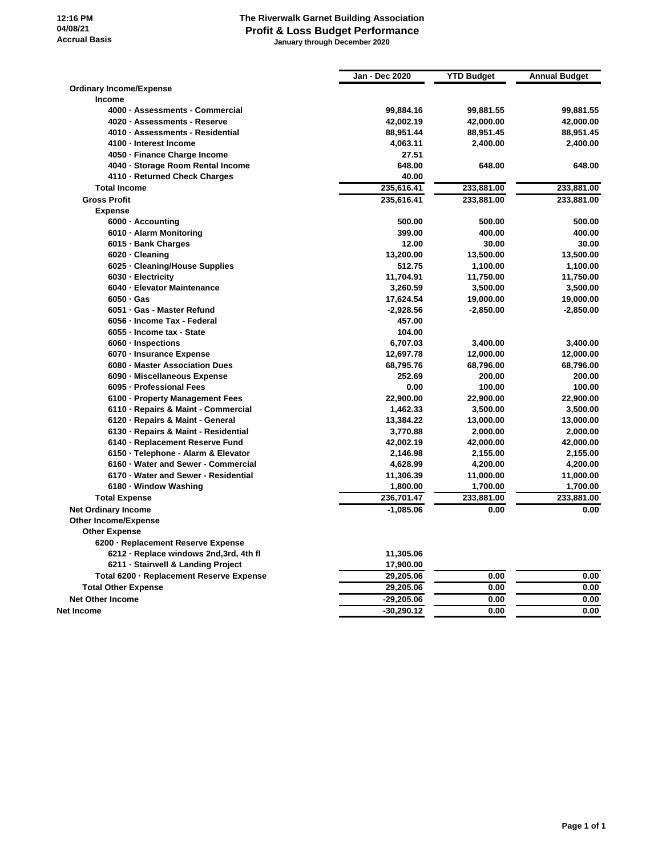## **The Riverwalk Garnet Building Association Profit & Loss Budget Performance January through December 2020**

|                                          | Jan - Dec 2020 | <b>YTD Budget</b> | <b>Annual Budget</b> |
|------------------------------------------|----------------|-------------------|----------------------|
| <b>Ordinary Income/Expense</b>           |                |                   |                      |
| <b>Income</b>                            |                |                   |                      |
| 4000 · Assessments - Commercial          | 99,884.16      | 99,881.55         | 99,881.55            |
| 4020 · Assessments - Reserve             | 42,002.19      | 42,000.00         | 42,000.00            |
| 4010 · Assessments - Residential         | 88,951.44      | 88,951.45         | 88,951.45            |
| 4100 - Interest Income                   | 4,063.11       | 2,400.00          | 2,400.00             |
| 4050 · Finance Charge Income             | 27.51          |                   |                      |
| 4040 · Storage Room Rental Income        | 648.00         | 648.00            | 648.00               |
| 4110 - Returned Check Charges            | 40.00          |                   |                      |
| <b>Total Income</b>                      | 235,616.41     | 233,881.00        | 233,881.00           |
| <b>Gross Profit</b>                      | 235,616.41     | 233,881.00        | 233,881.00           |
| <b>Expense</b>                           |                |                   |                      |
| 6000 · Accounting                        | 500.00         | 500.00            | 500.00               |
| 6010 · Alarm Monitoring                  | 399.00         | 400.00            | 400.00               |
| 6015 - Bank Charges                      | 12.00          | 30.00             | 30.00                |
| 6020 · Cleaning                          | 13,200.00      | 13,500.00         | 13,500.00            |
| 6025 - Cleaning/House Supplies           | 512.75         | 1,100.00          | 1,100.00             |
| 6030 - Electricity                       | 11,704.91      | 11,750.00         | 11,750.00            |
| 6040 - Elevator Maintenance              | 3,260.59       | 3,500.00          | 3,500.00             |
| $6050 \cdot Gas$                         | 17,624.54      | 19,000.00         | 19,000.00            |
| 6051 · Gas - Master Refund               | $-2,928.56$    | $-2,850.00$       | $-2,850.00$          |
| 6056 - Income Tax - Federal              | 457.00         |                   |                      |
| 6055 - Income tax - State                | 104.00         |                   |                      |
| 6060 · Inspections                       | 6.707.03       | 3.400.00          | 3.400.00             |
| 6070 · Insurance Expense                 | 12,697.78      | 12,000.00         | 12,000.00            |
| 6080 - Master Association Dues           | 68,795.76      | 68,796.00         | 68,796.00            |
| 6090 · Miscellaneous Expense             | 252.69         | 200.00            | 200.00               |
| 6095 - Professional Fees                 | 0.00           | 100.00            | 100.00               |
| 6100 · Property Management Fees          | 22,900.00      | 22,900.00         | 22,900.00            |
| 6110 · Repairs & Maint - Commercial      | 1,462.33       | 3,500.00          | 3,500.00             |
| 6120 · Repairs & Maint - General         | 13,384.22      | 13,000.00         | 13,000.00            |
| 6130 · Repairs & Maint - Residential     | 3,770.88       | 2,000.00          | 2,000.00             |
| 6140 - Replacement Reserve Fund          | 42,002.19      | 42,000.00         | 42,000.00            |
| 6150 - Telephone - Alarm & Elevator      | 2,146.98       | 2,155.00          | 2,155.00             |
| 6160 - Water and Sewer - Commercial      | 4,628.99       | 4,200.00          | 4,200.00             |
| 6170 - Water and Sewer - Residential     | 11,306.39      | 11,000.00         | 11,000.00            |
| 6180 · Window Washing                    | 1,800.00       | 1,700.00          | 1,700.00             |
| <b>Total Expense</b>                     | 236,701.47     | 233,881.00        | 233,881.00           |
|                                          |                |                   |                      |
| <b>Net Ordinary Income</b>               | $-1,085.06$    | 0.00              | 0.00                 |
| <b>Other Income/Expense</b>              |                |                   |                      |
| <b>Other Expense</b>                     |                |                   |                      |
| 6200 · Replacement Reserve Expense       |                |                   |                      |
| 6212 · Replace windows 2nd, 3rd, 4th fl  | 11,305.06      |                   |                      |
| 6211 · Stairwell & Landing Project       | 17,900.00      |                   |                      |
| Total 6200 - Replacement Reserve Expense | 29,205.06      | 0.00              | 0.00                 |
| <b>Total Other Expense</b>               | 29,205.06      | 0.00              | 0.00                 |
| <b>Net Other Income</b>                  | -29,205.06     | 0.00              | 0.00                 |
| <b>Net Income</b>                        | $-30,290.12$   | 0.00              | 0.00                 |